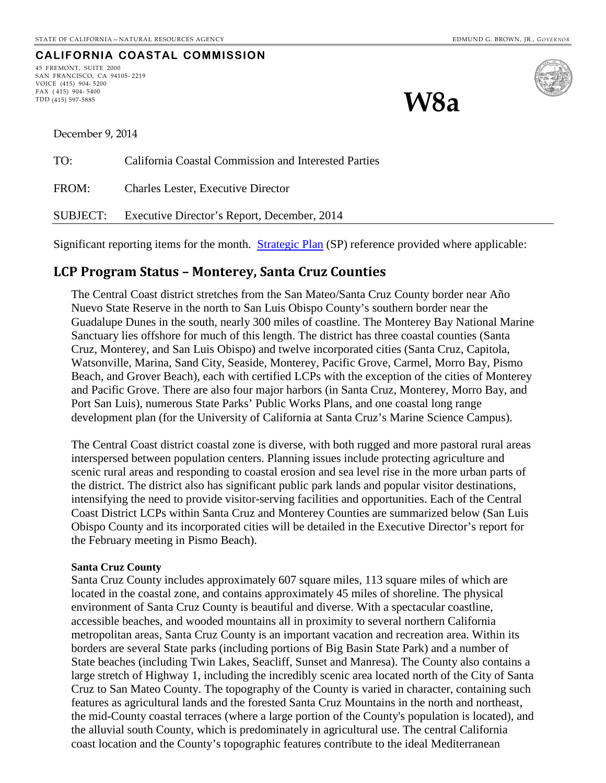**W8a**

### **CALIFORNIA COASTAL COMMISSION**

45 FREMONT, SUITE 2000 SAN FRANCISCO, CA 94105- 2219 VOICE (415) 904- 5200 FAX ( 415) 904- 5400 TDD (415) 597-5885



December 9, 2014

| TO:   | California Coastal Commission and Interested Parties |
|-------|------------------------------------------------------|
| FROM: | <b>Charles Lester, Executive Director</b>            |
|       | SUBJECT: Executive Director's Report, December, 2014 |

Significant reporting items for the month. [Strategic Plan](http://www.coastal.ca.gov/strategicplan/CCC_Final_StrategicPlan_2013-2018.pdf) (SP) reference provided where applicable:

### **LCP Program Status – Monterey, Santa Cruz Counties**

The Central Coast district stretches from the San Mateo/Santa Cruz County border near Año Nuevo State Reserve in the north to San Luis Obispo County's southern border near the Guadalupe Dunes in the south, nearly 300 miles of coastline. The Monterey Bay National Marine Sanctuary lies offshore for much of this length. The district has three coastal counties (Santa Cruz, Monterey, and San Luis Obispo) and twelve incorporated cities (Santa Cruz, Capitola, Watsonville, Marina, Sand City, Seaside, Monterey, Pacific Grove, Carmel, Morro Bay, Pismo Beach, and Grover Beach), each with certified LCPs with the exception of the cities of Monterey and Pacific Grove. There are also four major harbors (in Santa Cruz, Monterey, Morro Bay, and Port San Luis), numerous State Parks' Public Works Plans, and one coastal long range development plan (for the University of California at Santa Cruz's Marine Science Campus).

The Central Coast district coastal zone is diverse, with both rugged and more pastoral rural areas interspersed between population centers. Planning issues include protecting agriculture and scenic rural areas and responding to coastal erosion and sea level rise in the more urban parts of the district. The district also has significant public park lands and popular visitor destinations, intensifying the need to provide visitor-serving facilities and opportunities. Each of the Central Coast District LCPs within Santa Cruz and Monterey Counties are summarized below (San Luis Obispo County and its incorporated cities will be detailed in the Executive Director's report for the February meeting in Pismo Beach).

#### **Santa Cruz County**

Santa Cruz County includes approximately 607 square miles, 113 square miles of which are located in the coastal zone, and contains approximately 45 miles of shoreline. The physical environment of Santa Cruz County is beautiful and diverse. With a spectacular coastline, accessible beaches, and wooded mountains all in proximity to several northern California metropolitan areas, Santa Cruz County is an important vacation and recreation area. Within its borders are several State parks (including portions of Big Basin State Park) and a number of State beaches (including Twin Lakes, Seacliff, Sunset and Manresa). The County also contains a large stretch of Highway 1, including the incredibly scenic area located north of the City of Santa Cruz to San Mateo County. The topography of the County is varied in character, containing such features as agricultural lands and the forested Santa Cruz Mountains in the north and northeast, the mid-County coastal terraces (where a large portion of the County's population is located), and the alluvial south County, which is predominately in agricultural use. The central California coast location and the County's topographic features contribute to the ideal Mediterranean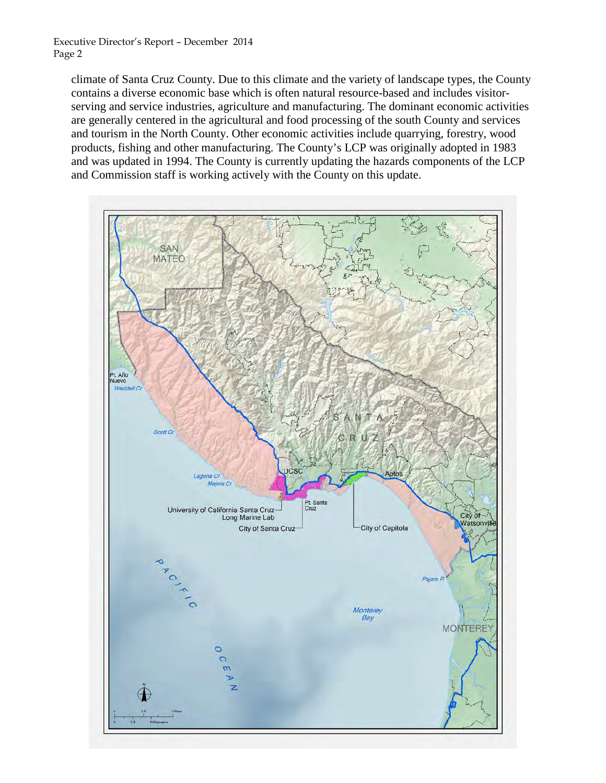climate of Santa Cruz County. Due to this climate and the variety of landscape types, the County contains a diverse economic base which is often natural resource-based and includes visitorserving and service industries, agriculture and manufacturing. The dominant economic activities are generally centered in the agricultural and food processing of the south County and services and tourism in the North County. Other economic activities include quarrying, forestry, wood products, fishing and other manufacturing. The County's LCP was originally adopted in 1983 and was updated in 1994. The County is currently updating the hazards components of the LCP and Commission staff is working actively with the County on this update.

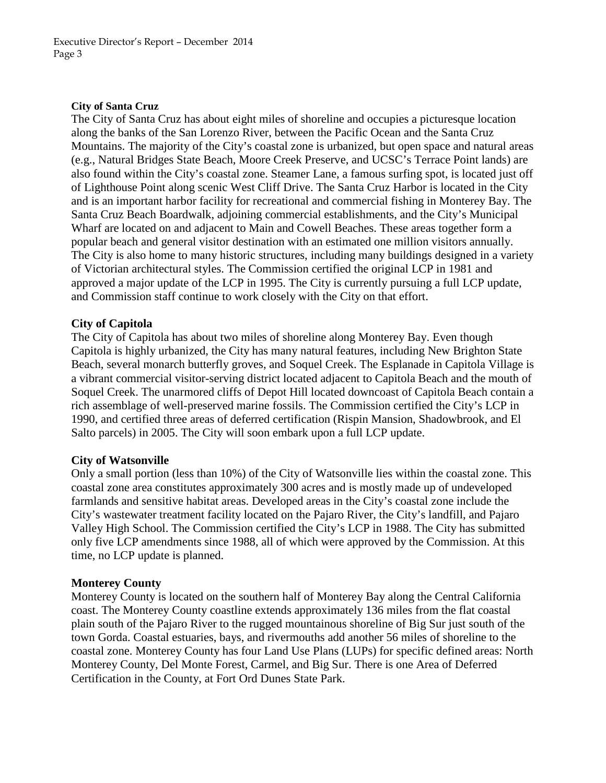#### **City of Santa Cruz**

The City of Santa Cruz has about eight miles of shoreline and occupies a picturesque location along the banks of the San Lorenzo River, between the Pacific Ocean and the Santa Cruz Mountains. The majority of the City's coastal zone is urbanized, but open space and natural areas (e.g., Natural Bridges State Beach, Moore Creek Preserve, and UCSC's Terrace Point lands) are also found within the City's coastal zone. Steamer Lane, a famous surfing spot, is located just off of Lighthouse Point along scenic West Cliff Drive. The Santa Cruz Harbor is located in the City and is an important harbor facility for recreational and commercial fishing in Monterey Bay. The Santa Cruz Beach Boardwalk, adjoining commercial establishments, and the City's Municipal Wharf are located on and adjacent to Main and Cowell Beaches. These areas together form a popular beach and general visitor destination with an estimated one million visitors annually. The City is also home to many historic structures, including many buildings designed in a variety of Victorian architectural styles. The Commission certified the original LCP in 1981 and approved a major update of the LCP in 1995. The City is currently pursuing a full LCP update, and Commission staff continue to work closely with the City on that effort.

### **City of Capitola**

The City of Capitola has about two miles of shoreline along Monterey Bay. Even though Capitola is highly urbanized, the City has many natural features, including New Brighton State Beach, several monarch butterfly groves, and Soquel Creek. The Esplanade in Capitola Village is a vibrant commercial visitor-serving district located adjacent to Capitola Beach and the mouth of Soquel Creek. The unarmored cliffs of Depot Hill located downcoast of Capitola Beach contain a rich assemblage of well-preserved marine fossils. The Commission certified the City's LCP in 1990, and certified three areas of deferred certification (Rispin Mansion, Shadowbrook, and El Salto parcels) in 2005. The City will soon embark upon a full LCP update.

### **City of Watsonville**

Only a small portion (less than 10%) of the City of Watsonville lies within the coastal zone. This coastal zone area constitutes approximately 300 acres and is mostly made up of undeveloped farmlands and sensitive habitat areas. Developed areas in the City's coastal zone include the City's wastewater treatment facility located on the Pajaro River, the City's landfill, and Pajaro Valley High School. The Commission certified the City's LCP in 1988. The City has submitted only five LCP amendments since 1988, all of which were approved by the Commission. At this time, no LCP update is planned.

### **Monterey County**

Monterey County is located on the southern half of Monterey Bay along the Central California coast. The Monterey County coastline extends approximately 136 miles from the flat coastal plain south of the Pajaro River to the rugged mountainous shoreline of Big Sur just south of the town Gorda. Coastal estuaries, bays, and rivermouths add another 56 miles of shoreline to the coastal zone. Monterey County has four Land Use Plans (LUPs) for specific defined areas: North Monterey County, Del Monte Forest, Carmel, and Big Sur. There is one Area of Deferred Certification in the County, at Fort Ord Dunes State Park.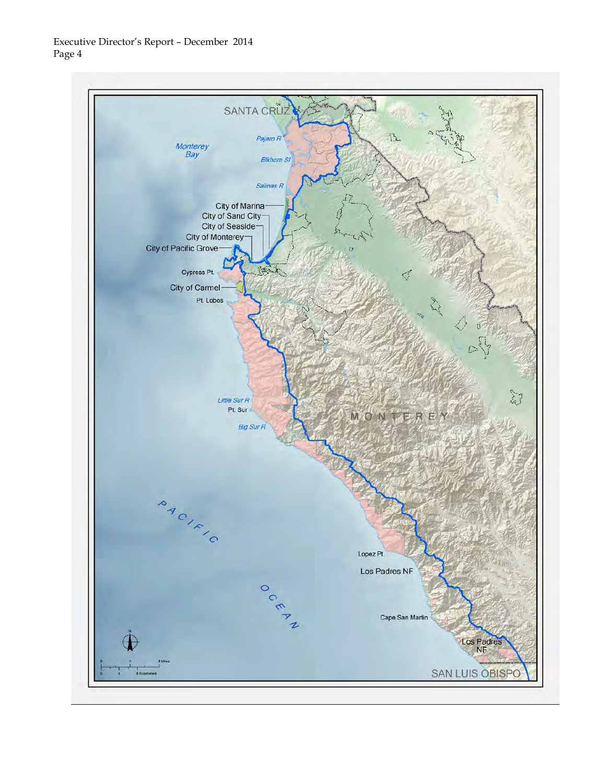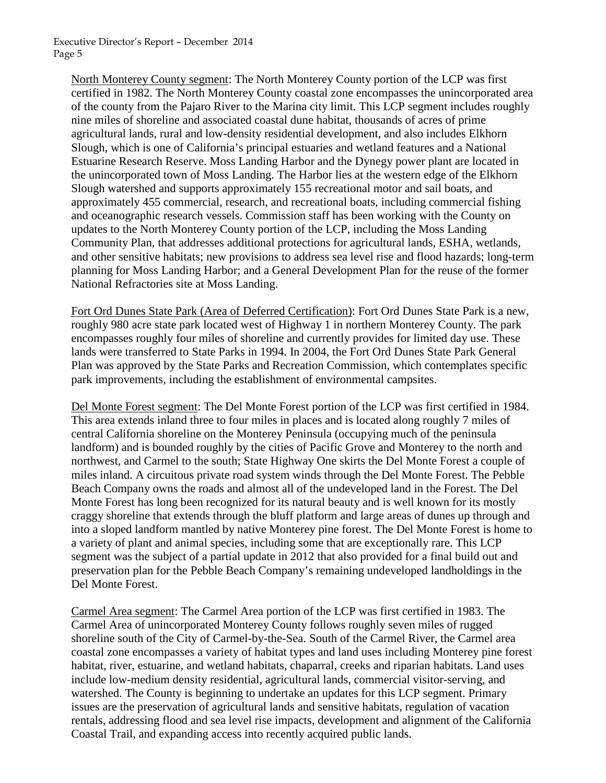North Monterey County segment: The North Monterey County portion of the LCP was first certified in 1982. The North Monterey County coastal zone encompasses the unincorporated area of the county from the Pajaro River to the Marina city limit. This LCP segment includes roughly nine miles of shoreline and associated coastal dune habitat, thousands of acres of prime agricultural lands, rural and low-density residential development, and also includes Elkhorn Slough, which is one of California's principal estuaries and wetland features and a National Estuarine Research Reserve. Moss Landing Harbor and the Dynegy power plant are located in the unincorporated town of Moss Landing. The Harbor lies at the western edge of the Elkhorn Slough watershed and supports approximately 155 recreational motor and sail boats, and approximately 455 commercial, research, and recreational boats, including commercial fishing and oceanographic research vessels. Commission staff has been working with the County on updates to the North Monterey County portion of the LCP, including the Moss Landing Community Plan, that addresses additional protections for agricultural lands, ESHA, wetlands, and other sensitive habitats; new provisions to address sea level rise and flood hazards; long-term planning for Moss Landing Harbor; and a General Development Plan for the reuse of the former National Refractories site at Moss Landing.

Fort Ord Dunes State Park (Area of Deferred Certification): Fort Ord Dunes State Park is a new, roughly 980 acre state park located west of Highway 1 in northern Monterey County. The park encompasses roughly four miles of shoreline and currently provides for limited day use. These lands were transferred to State Parks in 1994. In 2004, the Fort Ord Dunes State Park General Plan was approved by the State Parks and Recreation Commission, which contemplates specific park improvements, including the establishment of environmental campsites.

Del Monte Forest segment: The Del Monte Forest portion of the LCP was first certified in 1984. This area extends inland three to four miles in places and is located along roughly 7 miles of central California shoreline on the Monterey Peninsula (occupying much of the peninsula landform) and is bounded roughly by the cities of Pacific Grove and Monterey to the north and northwest, and Carmel to the south; State Highway One skirts the Del Monte Forest a couple of miles inland. A circuitous private road system winds through the Del Monte Forest. The Pebble Beach Company owns the roads and almost all of the undeveloped land in the Forest. The Del Monte Forest has long been recognized for its natural beauty and is well known for its mostly craggy shoreline that extends through the bluff platform and large areas of dunes up through and into a sloped landform mantled by native Monterey pine forest. The Del Monte Forest is home to a variety of plant and animal species, including some that are exceptionally rare. This LCP segment was the subject of a partial update in 2012 that also provided for a final build out and preservation plan for the Pebble Beach Company's remaining undeveloped landholdings in the Del Monte Forest.

Carmel Area segment: The Carmel Area portion of the LCP was first certified in 1983. The Carmel Area of unincorporated Monterey County follows roughly seven miles of rugged shoreline south of the City of Carmel-by-the-Sea. South of the Carmel River, the Carmel area coastal zone encompasses a variety of habitat types and land uses including Monterey pine forest habitat, river, estuarine, and wetland habitats, chaparral, creeks and riparian habitats. Land uses include low-medium density residential, agricultural lands, commercial visitor-serving, and watershed. The County is beginning to undertake an updates for this LCP segment. Primary issues are the preservation of agricultural lands and sensitive habitats, regulation of vacation rentals, addressing flood and sea level rise impacts, development and alignment of the California Coastal Trail, and expanding access into recently acquired public lands.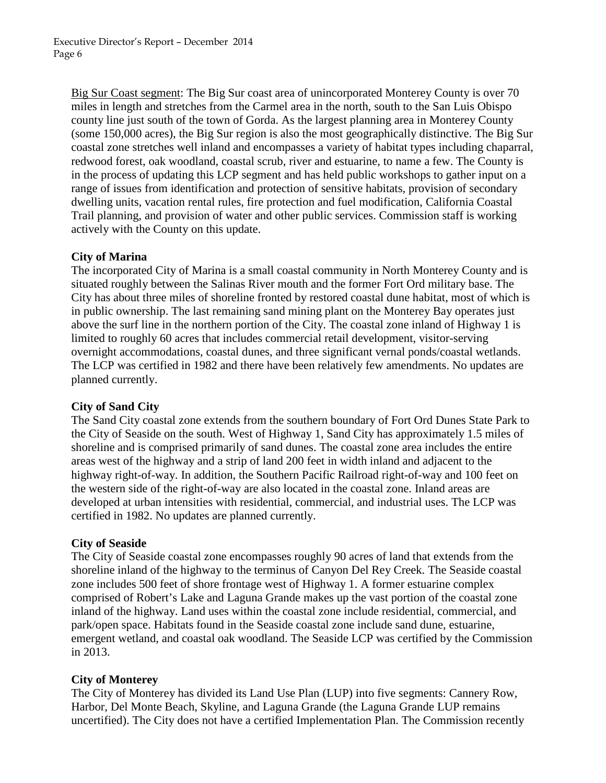Big Sur Coast segment: The Big Sur coast area of unincorporated Monterey County is over 70 miles in length and stretches from the Carmel area in the north, south to the San Luis Obispo county line just south of the town of Gorda. As the largest planning area in Monterey County (some 150,000 acres), the Big Sur region is also the most geographically distinctive. The Big Sur coastal zone stretches well inland and encompasses a variety of habitat types including chaparral, redwood forest, oak woodland, coastal scrub, river and estuarine, to name a few. The County is in the process of updating this LCP segment and has held public workshops to gather input on a range of issues from identification and protection of sensitive habitats, provision of secondary dwelling units, vacation rental rules, fire protection and fuel modification, California Coastal Trail planning, and provision of water and other public services. Commission staff is working actively with the County on this update.

### **City of Marina**

The incorporated City of Marina is a small coastal community in North Monterey County and is situated roughly between the Salinas River mouth and the former Fort Ord military base. The City has about three miles of shoreline fronted by restored coastal dune habitat, most of which is in public ownership. The last remaining sand mining plant on the Monterey Bay operates just above the surf line in the northern portion of the City. The coastal zone inland of Highway 1 is limited to roughly 60 acres that includes commercial retail development, visitor-serving overnight accommodations, coastal dunes, and three significant vernal ponds/coastal wetlands. The LCP was certified in 1982 and there have been relatively few amendments. No updates are planned currently.

### **City of Sand City**

The Sand City coastal zone extends from the southern boundary of Fort Ord Dunes State Park to the City of Seaside on the south. West of Highway 1, Sand City has approximately 1.5 miles of shoreline and is comprised primarily of sand dunes. The coastal zone area includes the entire areas west of the highway and a strip of land 200 feet in width inland and adjacent to the highway right-of-way. In addition, the Southern Pacific Railroad right-of-way and 100 feet on the western side of the right-of-way are also located in the coastal zone. Inland areas are developed at urban intensities with residential, commercial, and industrial uses. The LCP was certified in 1982. No updates are planned currently.

### **City of Seaside**

The City of Seaside coastal zone encompasses roughly 90 acres of land that extends from the shoreline inland of the highway to the terminus of Canyon Del Rey Creek. The Seaside coastal zone includes 500 feet of shore frontage west of Highway 1. A former estuarine complex comprised of Robert's Lake and Laguna Grande makes up the vast portion of the coastal zone inland of the highway. Land uses within the coastal zone include residential, commercial, and park/open space. Habitats found in the Seaside coastal zone include sand dune, estuarine, emergent wetland, and coastal oak woodland. The Seaside LCP was certified by the Commission in 2013.

### **City of Monterey**

The City of Monterey has divided its Land Use Plan (LUP) into five segments: Cannery Row, Harbor, Del Monte Beach, Skyline, and Laguna Grande (the Laguna Grande LUP remains uncertified). The City does not have a certified Implementation Plan. The Commission recently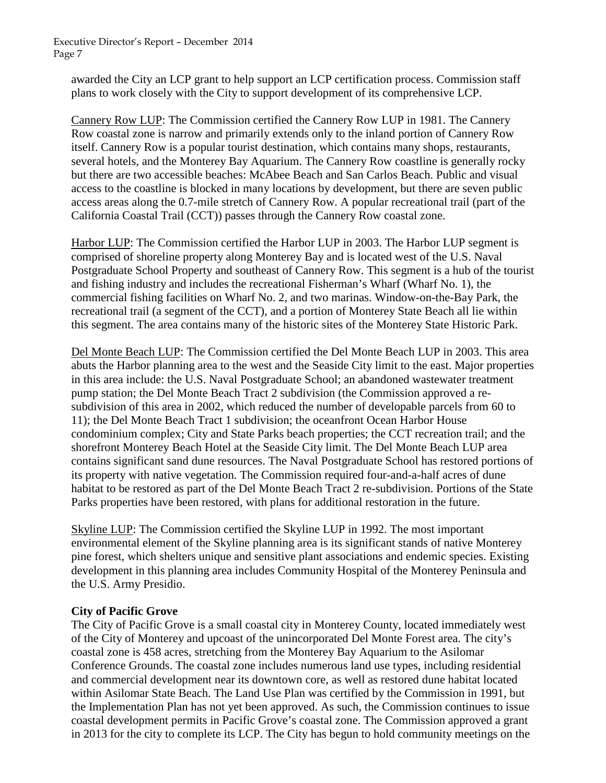awarded the City an LCP grant to help support an LCP certification process. Commission staff plans to work closely with the City to support development of its comprehensive LCP.

Cannery Row LUP: The Commission certified the Cannery Row LUP in 1981. The Cannery Row coastal zone is narrow and primarily extends only to the inland portion of Cannery Row itself. Cannery Row is a popular tourist destination, which contains many shops, restaurants, several hotels, and the Monterey Bay Aquarium. The Cannery Row coastline is generally rocky but there are two accessible beaches: McAbee Beach and San Carlos Beach. Public and visual access to the coastline is blocked in many locations by development, but there are seven public access areas along the 0.7-mile stretch of Cannery Row. A popular recreational trail (part of the California Coastal Trail (CCT)) passes through the Cannery Row coastal zone.

Harbor LUP: The Commission certified the Harbor LUP in 2003. The Harbor LUP segment is comprised of shoreline property along Monterey Bay and is located west of the U.S. Naval Postgraduate School Property and southeast of Cannery Row. This segment is a hub of the tourist and fishing industry and includes the recreational Fisherman's Wharf (Wharf No. 1), the commercial fishing facilities on Wharf No. 2, and two marinas. Window-on-the-Bay Park, the recreational trail (a segment of the CCT), and a portion of Monterey State Beach all lie within this segment. The area contains many of the historic sites of the Monterey State Historic Park.

Del Monte Beach LUP: The Commission certified the Del Monte Beach LUP in 2003. This area abuts the Harbor planning area to the west and the Seaside City limit to the east. Major properties in this area include: the U.S. Naval Postgraduate School; an abandoned wastewater treatment pump station; the Del Monte Beach Tract 2 subdivision (the Commission approved a resubdivision of this area in 2002, which reduced the number of developable parcels from 60 to 11); the Del Monte Beach Tract 1 subdivision; the oceanfront Ocean Harbor House condominium complex; City and State Parks beach properties; the CCT recreation trail; and the shorefront Monterey Beach Hotel at the Seaside City limit. The Del Monte Beach LUP area contains significant sand dune resources. The Naval Postgraduate School has restored portions of its property with native vegetation. The Commission required four-and-a-half acres of dune habitat to be restored as part of the Del Monte Beach Tract 2 re-subdivision. Portions of the State Parks properties have been restored, with plans for additional restoration in the future.

Skyline LUP: The Commission certified the Skyline LUP in 1992. The most important environmental element of the Skyline planning area is its significant stands of native Monterey pine forest, which shelters unique and sensitive plant associations and endemic species. Existing development in this planning area includes Community Hospital of the Monterey Peninsula and the U.S. Army Presidio.

### **City of Pacific Grove**

The City of Pacific Grove is a small coastal city in Monterey County, located immediately west of the City of Monterey and upcoast of the unincorporated Del Monte Forest area. The city's coastal zone is 458 acres, stretching from the Monterey Bay Aquarium to the Asilomar Conference Grounds. The coastal zone includes numerous land use types, including residential and commercial development near its downtown core, as well as restored dune habitat located within Asilomar State Beach. The Land Use Plan was certified by the Commission in 1991, but the Implementation Plan has not yet been approved. As such, the Commission continues to issue coastal development permits in Pacific Grove's coastal zone. The Commission approved a grant in 2013 for the city to complete its LCP. The City has begun to hold community meetings on the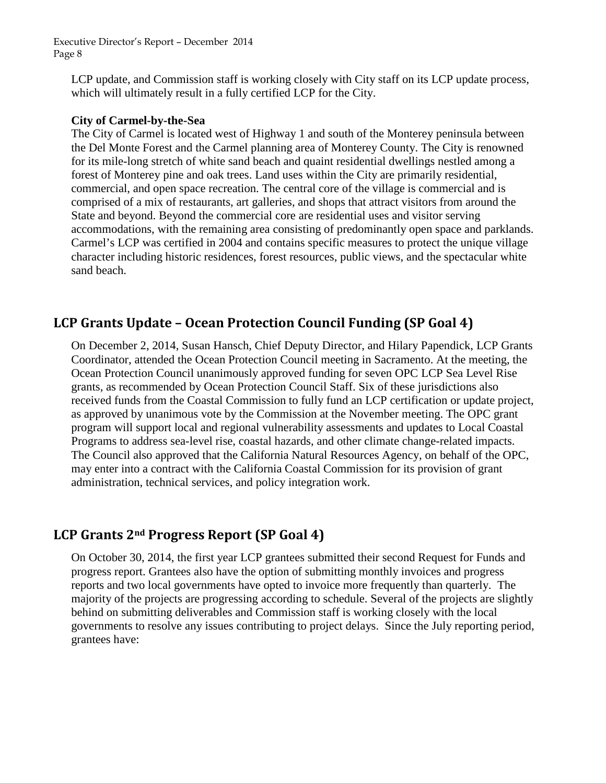LCP update, and Commission staff is working closely with City staff on its LCP update process, which will ultimately result in a fully certified LCP for the City.

### **City of Carmel-by-the-Sea**

The City of Carmel is located west of Highway 1 and south of the Monterey peninsula between the Del Monte Forest and the Carmel planning area of Monterey County. The City is renowned for its mile-long stretch of white sand beach and quaint residential dwellings nestled among a forest of Monterey pine and oak trees. Land uses within the City are primarily residential, commercial, and open space recreation. The central core of the village is commercial and is comprised of a mix of restaurants, art galleries, and shops that attract visitors from around the State and beyond. Beyond the commercial core are residential uses and visitor serving accommodations, with the remaining area consisting of predominantly open space and parklands. Carmel's LCP was certified in 2004 and contains specific measures to protect the unique village character including historic residences, forest resources, public views, and the spectacular white sand beach.

### **LCP Grants Update – Ocean Protection Council Funding (SP Goal 4)**

On December 2, 2014, Susan Hansch, Chief Deputy Director, and Hilary Papendick, LCP Grants Coordinator, attended the Ocean Protection Council meeting in Sacramento. At the meeting, the Ocean Protection Council unanimously approved funding for seven OPC LCP Sea Level Rise grants, as recommended by Ocean Protection Council Staff. Six of these jurisdictions also received funds from the Coastal Commission to fully fund an LCP certification or update project, as approved by unanimous vote by the Commission at the November meeting. The OPC grant program will support local and regional vulnerability assessments and updates to Local Coastal Programs to address sea-level rise, coastal hazards, and other climate change-related impacts. The Council also approved that the California Natural Resources Agency, on behalf of the OPC, may enter into a contract with the California Coastal Commission for its provision of grant administration, technical services, and policy integration work.

# **LCP Grants 2nd Progress Report (SP Goal 4)**

On October 30, 2014, the first year LCP grantees submitted their second Request for Funds and progress report. Grantees also have the option of submitting monthly invoices and progress reports and two local governments have opted to invoice more frequently than quarterly. The majority of the projects are progressing according to schedule. Several of the projects are slightly behind on submitting deliverables and Commission staff is working closely with the local governments to resolve any issues contributing to project delays. Since the July reporting period, grantees have: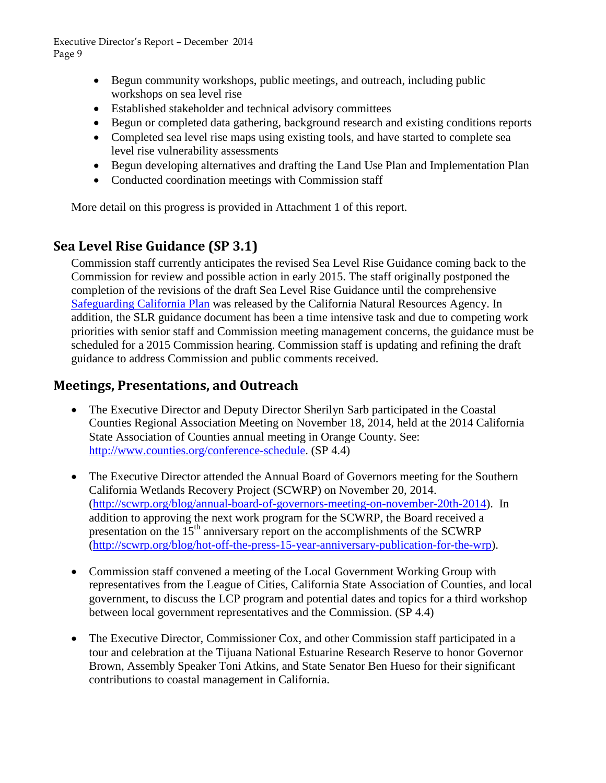- Begun community workshops, public meetings, and outreach, including public workshops on sea level rise
- Established stakeholder and technical advisory committees
- Begun or completed data gathering, background research and existing conditions reports
- Completed sea level rise maps using existing tools, and have started to complete sea level rise vulnerability assessments
- Begun developing alternatives and drafting the Land Use Plan and Implementation Plan
- Conducted coordination meetings with Commission staff

More detail on this progress is provided in Attachment 1 of this report.

# **Sea Level Rise Guidance (SP 3.1)**

Commission staff currently anticipates the revised Sea Level Rise Guidance coming back to the Commission for review and possible action in early 2015. The staff originally postponed the completion of the revisions of the draft Sea Level Rise Guidance until the comprehensive [Safeguarding California Plan](http://resources.ca.gov/climate/safeguarding/) was released by the California Natural Resources Agency. In addition, the SLR guidance document has been a time intensive task and due to competing work priorities with senior staff and Commission meeting management concerns, the guidance must be scheduled for a 2015 Commission hearing. Commission staff is updating and refining the draft guidance to address Commission and public comments received.

## **Meetings, Presentations, and Outreach**

- The Executive Director and Deputy Director Sherilyn Sarb participated in the Coastal Counties Regional Association Meeting on November 18, 2014, held at the 2014 California State Association of Counties annual meeting in Orange County. See: [http://www.counties.org/conference-schedule.](http://www.counties.org/conference-schedule) (SP 4.4)
- The Executive Director attended the Annual Board of Governors meeting for the Southern California Wetlands Recovery Project (SCWRP) on November 20, 2014. [\(http://scwrp.org/blog/annual-board-of-governors-meeting-on-november-20th-2014\)](http://scwrp.org/blog/annual-board-of-governors-meeting-on-november-20th-2014). In addition to approving the next work program for the SCWRP, the Board received a presentation on the  $15<sup>th</sup>$  anniversary report on the accomplishments of the SCWRP [\(http://scwrp.org/blog/hot-off-the-press-15-year-anniversary-publication-for-the-wrp\)](http://scwrp.org/blog/hot-off-the-press-15-year-anniversary-publication-for-the-wrp).
- Commission staff convened a meeting of the Local Government Working Group with representatives from the League of Cities, California State Association of Counties, and local government, to discuss the LCP program and potential dates and topics for a third workshop between local government representatives and the Commission. (SP 4.4)
- The Executive Director, Commissioner Cox, and other Commission staff participated in a tour and celebration at the Tijuana National Estuarine Research Reserve to honor Governor Brown, Assembly Speaker Toni Atkins, and State Senator Ben Hueso for their significant contributions to coastal management in California.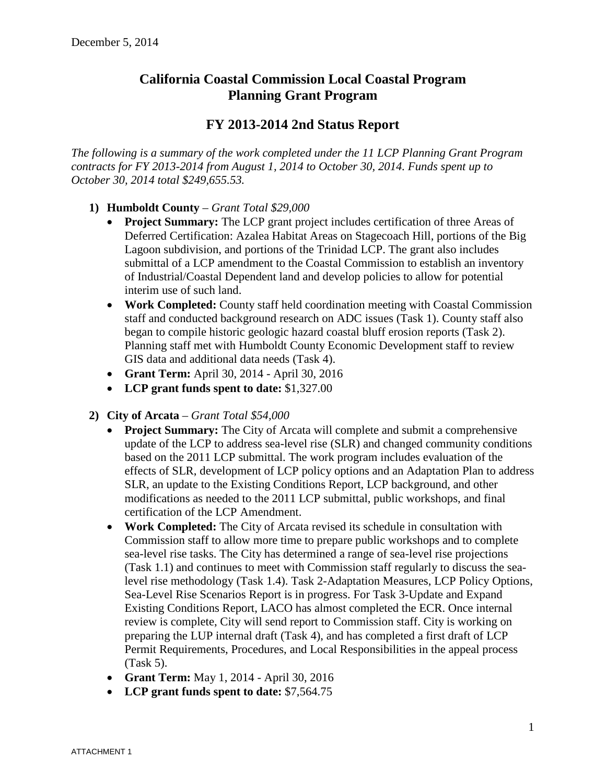## **California Coastal Commission Local Coastal Program Planning Grant Program**

## **FY 2013-2014 2nd Status Report**

*The following is a summary of the work completed under the 11 LCP Planning Grant Program contracts for FY 2013-2014 from August 1, 2014 to October 30, 2014. Funds spent up to October 30, 2014 total \$249,655.53.*

- **1) Humboldt County** *Grant Total \$29,000*
	- **Project Summary:** The LCP grant project includes certification of three Areas of Deferred Certification: Azalea Habitat Areas on Stagecoach Hill, portions of the Big Lagoon subdivision, and portions of the Trinidad LCP. The grant also includes submittal of a LCP amendment to the Coastal Commission to establish an inventory of Industrial/Coastal Dependent land and develop policies to allow for potential interim use of such land.
	- **Work Completed:** County staff held coordination meeting with Coastal Commission staff and conducted background research on ADC issues (Task 1). County staff also began to compile historic geologic hazard coastal bluff erosion reports (Task 2). Planning staff met with Humboldt County Economic Development staff to review GIS data and additional data needs (Task 4).
	- **Grant Term:** April 30, 2014 April 30, 2016
	- **LCP grant funds spent to date:** \$1,327.00
- **2) City of Arcata** *Grant Total \$54,000*
	- **Project Summary:** The City of Arcata will complete and submit a comprehensive update of the LCP to address sea-level rise (SLR) and changed community conditions based on the 2011 LCP submittal. The work program includes evaluation of the effects of SLR, development of LCP policy options and an Adaptation Plan to address SLR, an update to the Existing Conditions Report, LCP background, and other modifications as needed to the 2011 LCP submittal, public workshops, and final certification of the LCP Amendment.
	- **Work Completed:** The City of Arcata revised its schedule in consultation with Commission staff to allow more time to prepare public workshops and to complete sea-level rise tasks. The City has determined a range of sea-level rise projections (Task 1.1) and continues to meet with Commission staff regularly to discuss the sealevel rise methodology (Task 1.4). Task 2-Adaptation Measures, LCP Policy Options, Sea-Level Rise Scenarios Report is in progress. For Task 3-Update and Expand Existing Conditions Report, LACO has almost completed the ECR. Once internal review is complete, City will send report to Commission staff. City is working on preparing the LUP internal draft (Task 4), and has completed a first draft of LCP Permit Requirements, Procedures, and Local Responsibilities in the appeal process (Task 5).
	- **Grant Term:** May 1, 2014 April 30, 2016
	- **LCP grant funds spent to date:** \$7,564.75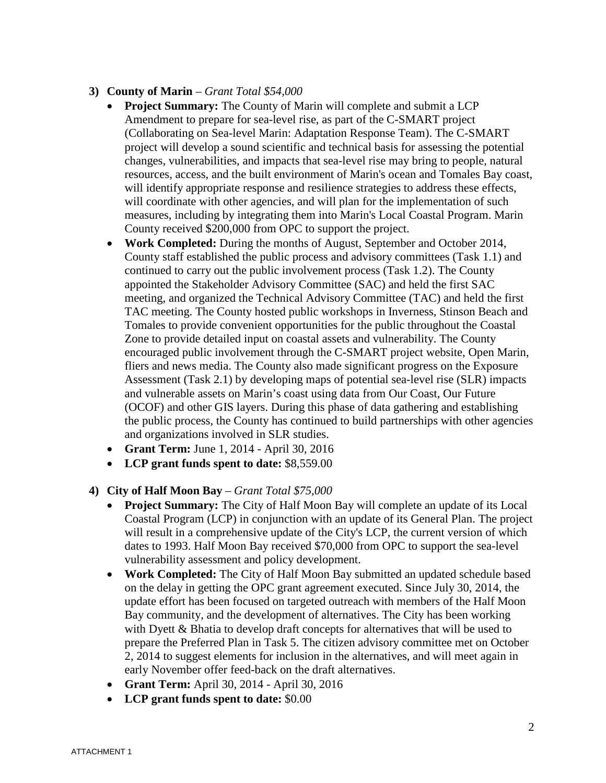### **3) County of Marin** – *Grant Total \$54,000*

- **Project Summary:** The County of Marin will complete and submit a LCP Amendment to prepare for sea-level rise, as part of the C-SMART project (Collaborating on Sea-level Marin: Adaptation Response Team). The C-SMART project will develop a sound scientific and technical basis for assessing the potential changes, vulnerabilities, and impacts that sea-level rise may bring to people, natural resources, access, and the built environment of Marin's ocean and Tomales Bay coast, will identify appropriate response and resilience strategies to address these effects, will coordinate with other agencies, and will plan for the implementation of such measures, including by integrating them into Marin's Local Coastal Program. Marin County received \$200,000 from OPC to support the project.
- **Work Completed:** During the months of August, September and October 2014, County staff established the public process and advisory committees (Task 1.1) and continued to carry out the public involvement process (Task 1.2). The County appointed the Stakeholder Advisory Committee (SAC) and held the first SAC meeting, and organized the Technical Advisory Committee (TAC) and held the first TAC meeting. The County hosted public workshops in Inverness, Stinson Beach and Tomales to provide convenient opportunities for the public throughout the Coastal Zone to provide detailed input on coastal assets and vulnerability. The County encouraged public involvement through the C-SMART project website, Open Marin, fliers and news media. The County also made significant progress on the Exposure Assessment (Task 2.1) by developing maps of potential sea-level rise (SLR) impacts and vulnerable assets on Marin's coast using data from Our Coast, Our Future (OCOF) and other GIS layers. During this phase of data gathering and establishing the public process, the County has continued to build partnerships with other agencies and organizations involved in SLR studies.
- **Grant Term:** June 1, 2014 April 30, 2016
- **LCP grant funds spent to date:** \$8,559.00
- **4) City of Half Moon Bay** *Grant Total \$75,000*
	- **Project Summary:** The City of Half Moon Bay will complete an update of its Local Coastal Program (LCP) in conjunction with an update of its General Plan. The project will result in a comprehensive update of the City's LCP, the current version of which dates to 1993. Half Moon Bay received \$70,000 from OPC to support the sea-level vulnerability assessment and policy development.
	- **Work Completed:** The City of Half Moon Bay submitted an updated schedule based on the delay in getting the OPC grant agreement executed. Since July 30, 2014, the update effort has been focused on targeted outreach with members of the Half Moon Bay community, and the development of alternatives. The City has been working with Dyett & Bhatia to develop draft concepts for alternatives that will be used to prepare the Preferred Plan in Task 5. The citizen advisory committee met on October 2, 2014 to suggest elements for inclusion in the alternatives, and will meet again in early November offer feed-back on the draft alternatives.
	- **Grant Term:** April 30, 2014 April 30, 2016
	- **LCP grant funds spent to date:** \$0.00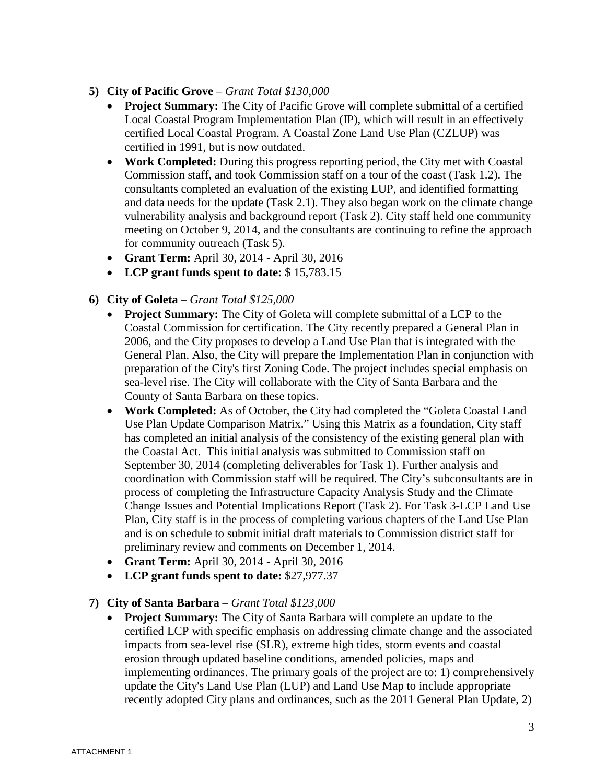- **5) City of Pacific Grove** *Grant Total \$130,000*
	- **Project Summary:** The City of Pacific Grove will complete submittal of a certified Local Coastal Program Implementation Plan (IP), which will result in an effectively certified Local Coastal Program. A Coastal Zone Land Use Plan (CZLUP) was certified in 1991, but is now outdated.
	- **Work Completed:** During this progress reporting period, the City met with Coastal Commission staff, and took Commission staff on a tour of the coast (Task 1.2). The consultants completed an evaluation of the existing LUP, and identified formatting and data needs for the update (Task 2.1). They also began work on the climate change vulnerability analysis and background report (Task 2). City staff held one community meeting on October 9, 2014, and the consultants are continuing to refine the approach for community outreach (Task 5).
	- **Grant Term:** April 30, 2014 April 30, 2016
	- **LCP grant funds spent to date:** \$ 15,783.15
- **6) City of Goleta** *Grant Total \$125,000*
	- **Project Summary:** The City of Goleta will complete submittal of a LCP to the Coastal Commission for certification. The City recently prepared a General Plan in 2006, and the City proposes to develop a Land Use Plan that is integrated with the General Plan. Also, the City will prepare the Implementation Plan in conjunction with preparation of the City's first Zoning Code. The project includes special emphasis on sea-level rise. The City will collaborate with the City of Santa Barbara and the County of Santa Barbara on these topics.
	- **Work Completed:** As of October, the City had completed the "Goleta Coastal Land Use Plan Update Comparison Matrix." Using this Matrix as a foundation, City staff has completed an initial analysis of the consistency of the existing general plan with the Coastal Act. This initial analysis was submitted to Commission staff on September 30, 2014 (completing deliverables for Task 1). Further analysis and coordination with Commission staff will be required. The City's subconsultants are in process of completing the Infrastructure Capacity Analysis Study and the Climate Change Issues and Potential Implications Report (Task 2). For Task 3-LCP Land Use Plan, City staff is in the process of completing various chapters of the Land Use Plan and is on schedule to submit initial draft materials to Commission district staff for preliminary review and comments on December 1, 2014.
	- **Grant Term:** April 30, 2014 April 30, 2016
	- **LCP grant funds spent to date:** \$27,977.37

### **7) City of Santa Barbara** – *Grant Total \$123,000*

• **Project Summary:** The City of Santa Barbara will complete an update to the certified LCP with specific emphasis on addressing climate change and the associated impacts from sea-level rise (SLR), extreme high tides, storm events and coastal erosion through updated baseline conditions, amended policies, maps and implementing ordinances. The primary goals of the project are to: 1) comprehensively update the City's Land Use Plan (LUP) and Land Use Map to include appropriate recently adopted City plans and ordinances, such as the 2011 General Plan Update, 2)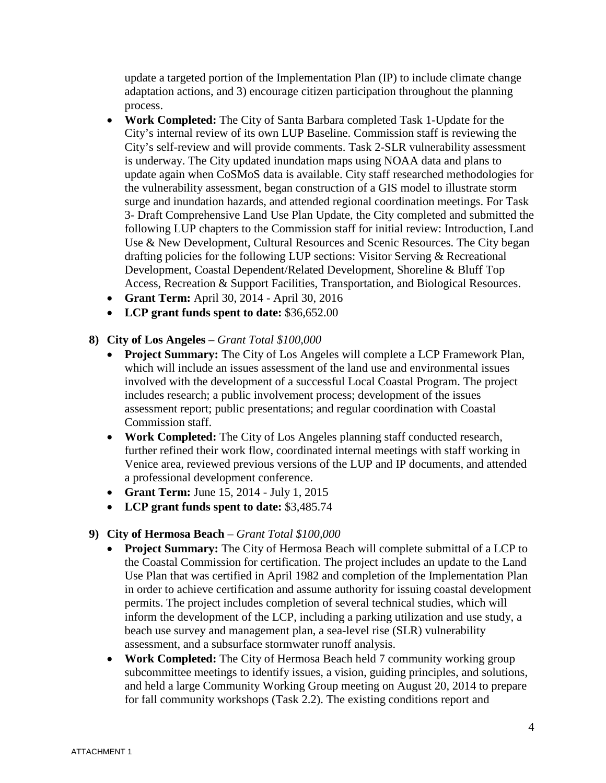update a targeted portion of the Implementation Plan (IP) to include climate change adaptation actions, and 3) encourage citizen participation throughout the planning process.

- **Work Completed:** The City of Santa Barbara completed Task 1-Update for the City's internal review of its own LUP Baseline. Commission staff is reviewing the City's self-review and will provide comments. Task 2-SLR vulnerability assessment is underway. The City updated inundation maps using NOAA data and plans to update again when CoSMoS data is available. City staff researched methodologies for the vulnerability assessment, began construction of a GIS model to illustrate storm surge and inundation hazards, and attended regional coordination meetings. For Task 3- Draft Comprehensive Land Use Plan Update, the City completed and submitted the following LUP chapters to the Commission staff for initial review: Introduction, Land Use & New Development, Cultural Resources and Scenic Resources. The City began drafting policies for the following LUP sections: Visitor Serving & Recreational Development, Coastal Dependent/Related Development, Shoreline & Bluff Top Access, Recreation & Support Facilities, Transportation, and Biological Resources.
- **Grant Term:** April 30, 2014 April 30, 2016
- **LCP grant funds spent to date:** \$36,652.00

### **8) City of Los Angeles** – *Grant Total \$100,000*

- **Project Summary:** The City of Los Angeles will complete a LCP Framework Plan, which will include an issues assessment of the land use and environmental issues involved with the development of a successful Local Coastal Program. The project includes research; a public involvement process; development of the issues assessment report; public presentations; and regular coordination with Coastal Commission staff.
- **Work Completed:** The City of Los Angeles planning staff conducted research, further refined their work flow, coordinated internal meetings with staff working in Venice area, reviewed previous versions of the LUP and IP documents, and attended a professional development conference.
- **Grant Term:** June 15, 2014 July 1, 2015
- **LCP grant funds spent to date:** \$3,485.74

### **9) City of Hermosa Beach** – *Grant Total \$100,000*

- **Project Summary:** The City of Hermosa Beach will complete submittal of a LCP to the Coastal Commission for certification. The project includes an update to the Land Use Plan that was certified in April 1982 and completion of the Implementation Plan in order to achieve certification and assume authority for issuing coastal development permits. The project includes completion of several technical studies, which will inform the development of the LCP, including a parking utilization and use study, a beach use survey and management plan, a sea-level rise (SLR) vulnerability assessment, and a subsurface stormwater runoff analysis.
- **Work Completed:** The City of Hermosa Beach held 7 community working group subcommittee meetings to identify issues, a vision, guiding principles, and solutions, and held a large Community Working Group meeting on August 20, 2014 to prepare for fall community workshops (Task 2.2). The existing conditions report and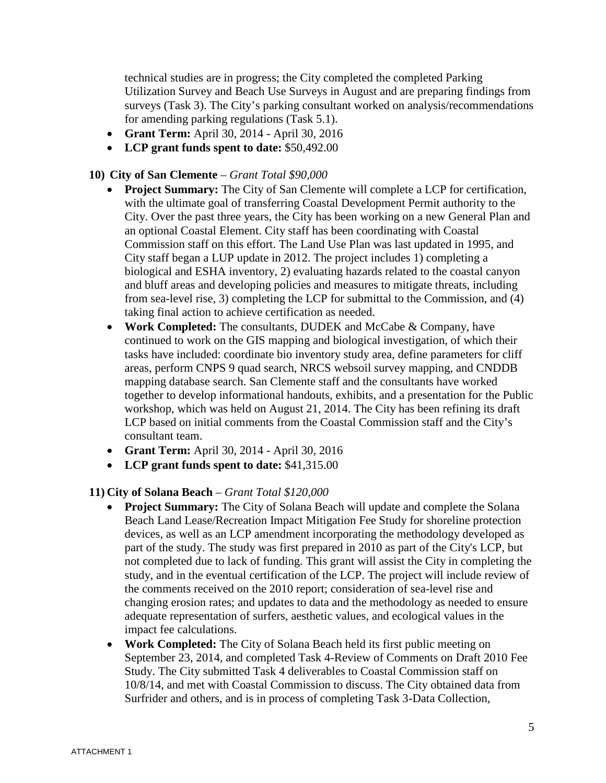technical studies are in progress; the City completed the completed Parking Utilization Survey and Beach Use Surveys in August and are preparing findings from surveys (Task 3). The City's parking consultant worked on analysis/recommendations for amending parking regulations (Task 5.1).

- **Grant Term:** April 30, 2014 April 30, 2016
- **LCP grant funds spent to date:** \$50,492.00

### **10) City of San Clemente** – *Grant Total \$90,000*

- **Project Summary:** The City of San Clemente will complete a LCP for certification, with the ultimate goal of transferring Coastal Development Permit authority to the City. Over the past three years, the City has been working on a new General Plan and an optional Coastal Element. City staff has been coordinating with Coastal Commission staff on this effort. The Land Use Plan was last updated in 1995, and City staff began a LUP update in 2012. The project includes 1) completing a biological and ESHA inventory, 2) evaluating hazards related to the coastal canyon and bluff areas and developing policies and measures to mitigate threats, including from sea-level rise, 3) completing the LCP for submittal to the Commission, and (4) taking final action to achieve certification as needed.
- **Work Completed:** The consultants, DUDEK and McCabe & Company, have continued to work on the GIS mapping and biological investigation, of which their tasks have included: coordinate bio inventory study area, define parameters for cliff areas, perform CNPS 9 quad search, NRCS websoil survey mapping, and CNDDB mapping database search. San Clemente staff and the consultants have worked together to develop informational handouts, exhibits, and a presentation for the Public workshop, which was held on August 21, 2014. The City has been refining its draft LCP based on initial comments from the Coastal Commission staff and the City's consultant team.
- **Grant Term:** April 30, 2014 April 30, 2016
- **LCP grant funds spent to date:** \$41,315.00

### **11) City of Solana Beach** – *Grant Total \$120,000*

- **Project Summary:** The City of Solana Beach will update and complete the Solana Beach Land Lease/Recreation Impact Mitigation Fee Study for shoreline protection devices, as well as an LCP amendment incorporating the methodology developed as part of the study. The study was first prepared in 2010 as part of the City's LCP, but not completed due to lack of funding. This grant will assist the City in completing the study, and in the eventual certification of the LCP. The project will include review of the comments received on the 2010 report; consideration of sea-level rise and changing erosion rates; and updates to data and the methodology as needed to ensure adequate representation of surfers, aesthetic values, and ecological values in the impact fee calculations.
- **Work Completed:** The City of Solana Beach held its first public meeting on September 23, 2014, and completed Task 4-Review of Comments on Draft 2010 Fee Study. The City submitted Task 4 deliverables to Coastal Commission staff on 10/8/14, and met with Coastal Commission to discuss. The City obtained data from Surfrider and others, and is in process of completing Task 3-Data Collection,